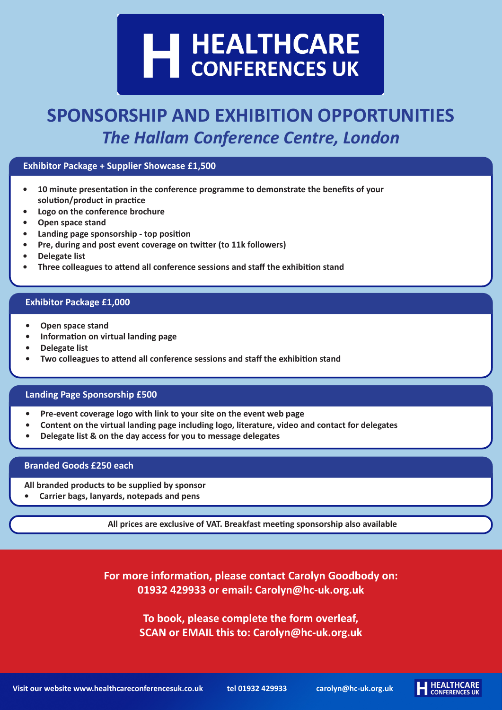## H HEALTHCARE<br>CONFERENCES UK

## **SPONSORSHIP AND EXHIBITION OPPORTUNITIES** *The Hallam Conference Centre, London*

#### **Exhibitor Package + Supplier Showcase £1,500**

- **• 10 minute presentation in the conference programme to demonstrate the benefits of your solution/product in practice**
- **• Logo on the conference brochure**
- **• Open space stand**
- **• Landing page sponsorship top position**
- **• Pre, during and post event coverage on twitter (to 11k followers)**
- **• Delegate list**
- **• Three colleagues to attend all conference sessions and staff the exhibition stand**

#### **Exhibitor Package £1,000**

- **• Open space stand**
- **• Information on virtual landing page**
- **• Delegate list**
- **• Two colleagues to attend all conference sessions and staff the exhibition stand**

#### **Landing Page Sponsorship £500**

- **• Pre-event coverage logo with link to your site on the event web page**
- **• Content on the virtual landing page including logo, literature, video and contact for delegates**
- **• Delegate list & on the day access for you to message delegates**

#### **Branded Goods £250 each**

**All branded products to be supplied by sponsor**

**• Carrier bags, lanyards, notepads and pens** 

**All prices are exclusive of VAT. Breakfast meeting sponsorship also available**

**For more information, please contact Carolyn Goodbody on: 01932 429933 or email: [Carolyn@hc-uk.org.uk](mailto:Carolyn%40hc-uk.org.uk?subject=Sponsorship%20at%20Hallam)** 

> **To book, please complete the form overleaf, SCAN or EMAIL this to: [Carolyn@hc-uk.org.uk](mailto:Carolyn%40hc-uk.org.uk?subject=Sponsorship%20at%20Hallam)**